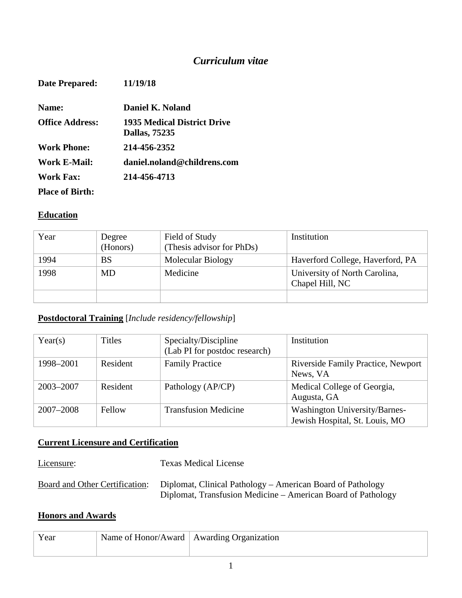# *Curriculum vitae*

| <b>Date Prepared:</b>  | 11/19/18                                                   |
|------------------------|------------------------------------------------------------|
| Name:                  | Daniel K. Noland                                           |
| <b>Office Address:</b> | <b>1935 Medical District Drive</b><br><b>Dallas, 75235</b> |
| Work Phone:            | 214-456-2352                                               |
| Work E-Mail:           | daniel.noland@childrens.com                                |
| Work Fax:              | 214-456-4713                                               |
| <b>Place of Birth:</b> |                                                            |

## **Education**

| Year | Degree<br>(Honors) | Field of Study<br>(Thesis advisor for PhDs) | Institution                                      |
|------|--------------------|---------------------------------------------|--------------------------------------------------|
| 1994 | BS                 | Molecular Biology                           | Haverford College, Haverford, PA                 |
| 1998 | MD                 | Medicine                                    | University of North Carolina,<br>Chapel Hill, NC |
|      |                    |                                             |                                                  |

# **Postdoctoral Training** [*Include residency/fellowship*]

| Year(s)       | <b>Titles</b> | Specialty/Discipline<br>(Lab PI for postdoc research) | Institution                                                     |
|---------------|---------------|-------------------------------------------------------|-----------------------------------------------------------------|
| 1998-2001     | Resident      | <b>Family Practice</b>                                | Riverside Family Practice, Newport<br>News, VA                  |
| 2003-2007     | Resident      | Pathology (AP/CP)                                     | Medical College of Georgia,<br>Augusta, GA                      |
| $2007 - 2008$ | Fellow        | <b>Transfusion Medicine</b>                           | Washington University/Barnes-<br>Jewish Hospital, St. Louis, MO |

# **Current Licensure and Certification**

| Licensure: | <b>Texas Medical License</b>                                                                                                                              |
|------------|-----------------------------------------------------------------------------------------------------------------------------------------------------------|
|            | Board and Other Certification: Diplomat, Clinical Pathology – American Board of Pathology<br>Diplomat, Transfusion Medicine – American Board of Pathology |

## **Honors and Awards**

| Year | Name of Honor/Award   Awarding Organization |
|------|---------------------------------------------|
|      |                                             |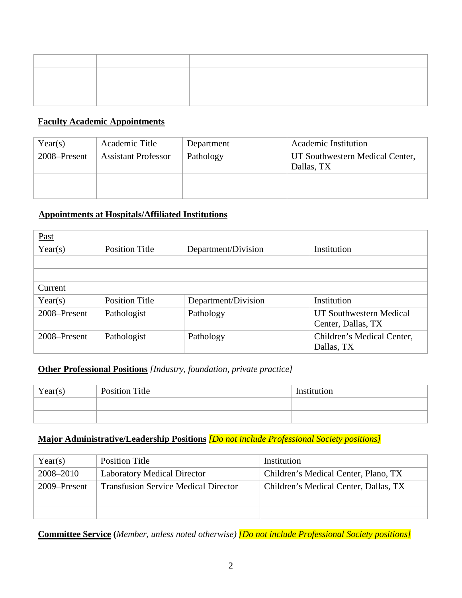### **Faculty Academic Appointments**

| Year(s)      | Academic Title             | Department | Academic Institution                          |
|--------------|----------------------------|------------|-----------------------------------------------|
| 2008–Present | <b>Assistant Professor</b> | Pathology  | UT Southwestern Medical Center,<br>Dallas, TX |
|              |                            |            |                                               |
|              |                            |            |                                               |

#### **Appointments at Hospitals/Affiliated Institutions**

| Past         |                       |                     |                            |
|--------------|-----------------------|---------------------|----------------------------|
| Year(s)      | <b>Position Title</b> | Department/Division | Institution                |
|              |                       |                     |                            |
|              |                       |                     |                            |
| Current      |                       |                     |                            |
| Year(s)      | <b>Position Title</b> | Department/Division | Institution                |
| 2008–Present | Pathologist           | Pathology           | UT Southwestern Medical    |
|              |                       |                     | Center, Dallas, TX         |
| 2008–Present | Pathologist           | Pathology           | Children's Medical Center, |
|              |                       |                     | Dallas, TX                 |

### **Other Professional Positions** *[Industry, foundation, private practice]*

| Year(s) | <b>Position Title</b> | Institution |
|---------|-----------------------|-------------|
|         |                       |             |
|         |                       |             |

### **Major Administrative/Leadership Positions** *[Do not include Professional Society positions]*

| Year(s)      | Position Title                              | Institution                           |
|--------------|---------------------------------------------|---------------------------------------|
| 2008–2010    | <b>Laboratory Medical Director</b>          | Children's Medical Center, Plano, TX  |
| 2009–Present | <b>Transfusion Service Medical Director</b> | Children's Medical Center, Dallas, TX |
|              |                                             |                                       |
|              |                                             |                                       |

**Committee Service (***Member, unless noted otherwise) [Do not include Professional Society positions]*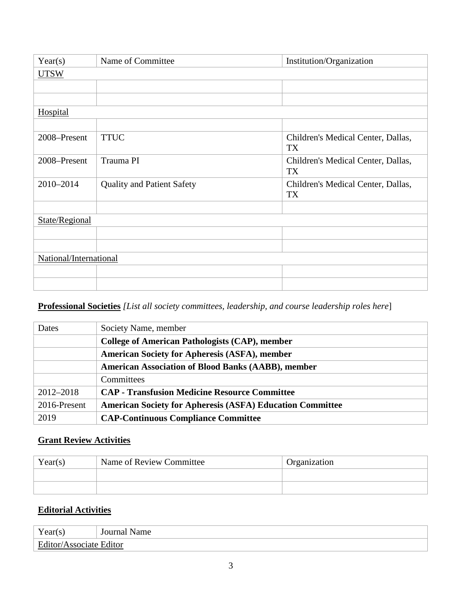| Year(s)                | Name of Committee                 | Institution/Organization                 |
|------------------------|-----------------------------------|------------------------------------------|
| <b>UTSW</b>            |                                   |                                          |
|                        |                                   |                                          |
|                        |                                   |                                          |
| <b>Hospital</b>        |                                   |                                          |
|                        |                                   |                                          |
| 2008-Present           | <b>TTUC</b>                       | Children's Medical Center, Dallas,<br>TX |
| 2008-Present           | Trauma PI                         | Children's Medical Center, Dallas,<br>TX |
| 2010-2014              | <b>Quality and Patient Safety</b> | Children's Medical Center, Dallas,<br>TX |
|                        |                                   |                                          |
| State/Regional         |                                   |                                          |
|                        |                                   |                                          |
|                        |                                   |                                          |
| National/International |                                   |                                          |
|                        |                                   |                                          |
|                        |                                   |                                          |

## **Professional Societies** *[List all society committees, leadership, and course leadership roles here*]

| Dates         | Society Name, member                                             |
|---------------|------------------------------------------------------------------|
|               | <b>College of American Pathologists (CAP), member</b>            |
|               | <b>American Society for Apheresis (ASFA), member</b>             |
|               | <b>American Association of Blood Banks (AABB), member</b>        |
|               | Committees                                                       |
| $2012 - 2018$ | <b>CAP</b> - Transfusion Medicine Resource Committee             |
| 2016-Present  | <b>American Society for Apheresis (ASFA) Education Committee</b> |
| 2019          | <b>CAP-Continuous Compliance Committee</b>                       |

## **Grant Review Activities**

| Year(s) | Name of Review Committee | Organization |
|---------|--------------------------|--------------|
|         |                          |              |
|         |                          |              |

# **Editorial Activities**

| $V_{\alpha\alpha r}$                     | lourna |
|------------------------------------------|--------|
| r car                                    | Name   |
| Edi<br>$\mu$ tor/Associ $\ell$<br>Editor |        |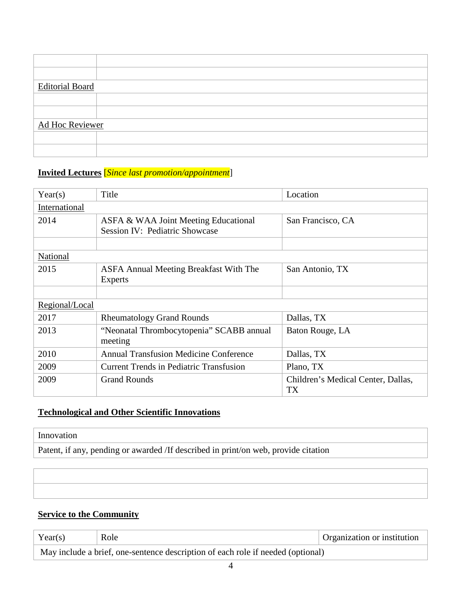| <b>Editorial Board</b> |  |
|------------------------|--|
|                        |  |
|                        |  |
|                        |  |
|                        |  |
|                        |  |
| Ad Hoc Reviewer        |  |
|                        |  |
|                        |  |
|                        |  |
|                        |  |
|                        |  |

# **Invited Lectures** [*Since last promotion/appointment*]

| Year(s)        | Title                                                                  | Location                                 |
|----------------|------------------------------------------------------------------------|------------------------------------------|
| International  |                                                                        |                                          |
| 2014           | ASFA & WAA Joint Meeting Educational<br>Session IV: Pediatric Showcase | San Francisco, CA                        |
|                |                                                                        |                                          |
| National       |                                                                        |                                          |
| 2015           | <b>ASFA Annual Meeting Breakfast With The</b><br><b>Experts</b>        | San Antonio, TX                          |
|                |                                                                        |                                          |
| Regional/Local |                                                                        |                                          |
| 2017           | <b>Rheumatology Grand Rounds</b>                                       | Dallas, TX                               |
| 2013           | "Neonatal Thrombocytopenia" SCABB annual<br>meeting                    | Baton Rouge, LA                          |
| 2010           | <b>Annual Transfusion Medicine Conference</b>                          | Dallas, TX                               |
| 2009           | Current Trends in Pediatric Transfusion                                | Plano, TX                                |
| 2009           | <b>Grand Rounds</b>                                                    | Children's Medical Center, Dallas,<br>TX |

# **Technological and Other Scientific Innovations**

# Innovation

Patent, if any, pending or awarded /If described in print/on web, provide citation

# **Service to the Community**

| Year(s) | Role                                                                            | <b>Organization or institution</b> |
|---------|---------------------------------------------------------------------------------|------------------------------------|
|         | May include a brief, one-sentence description of each role if needed (optional) |                                    |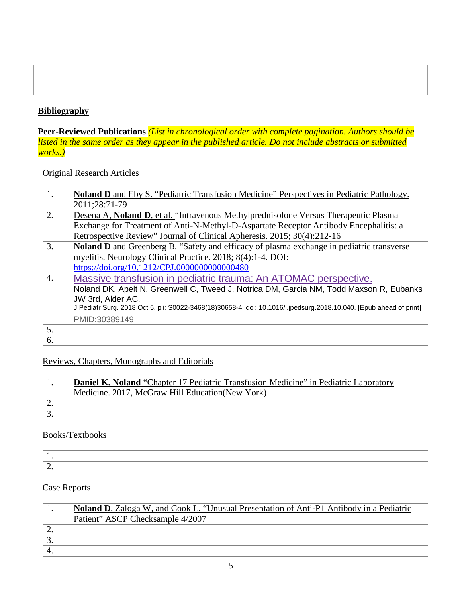### **Bibliography**

**Peer-Reviewed Publications** *(List in chronological order with complete pagination. Authors should be listed in the same order as they appear in the published article. Do not include abstracts or submitted works.)*

### Original Research Articles

| 1. | <b>Noland D</b> and Eby S. "Pediatric Transfusion Medicine" Perspectives in Pediatric Pathology.                   |
|----|--------------------------------------------------------------------------------------------------------------------|
|    | 2011;28:71-79                                                                                                      |
| 2. | Desena A, Noland D, et al. "Intravenous Methylprednisolone Versus Therapeutic Plasma                               |
|    | Exchange for Treatment of Anti-N-Methyl-D-Aspartate Receptor Antibody Encephalitis: a                              |
|    | Retrospective Review" Journal of Clinical Apheresis. 2015; 30(4):212-16                                            |
| 3. | Noland D and Greenberg B. "Safety and efficacy of plasma exchange in pediatric transverse                          |
|    | myelitis. Neurology Clinical Practice. 2018; 8(4):1-4. DOI:                                                        |
|    | https://doi.org/10.1212/CPJ.0000000000000480                                                                       |
| 4. | Massive transfusion in pediatric trauma: An ATOMAC perspective.                                                    |
|    | Noland DK, Apelt N, Greenwell C, Tweed J, Notrica DM, Garcia NM, Todd Maxson R, Eubanks                            |
|    | JW 3rd, Alder AC.                                                                                                  |
|    | J Pediatr Surg. 2018 Oct 5. pii: S0022-3468(18)30658-4. doi: 10.1016/j.jpedsurg.2018.10.040. [Epub ahead of print] |
|    | PMID:30389149                                                                                                      |
| 5. |                                                                                                                    |
| 6. |                                                                                                                    |

#### Reviews, Chapters, Monographs and Editorials

|          | <b>Daniel K. Noland</b> "Chapter 17 Pediatric Transfusion Medicine" in Pediatric Laboratory |  |
|----------|---------------------------------------------------------------------------------------------|--|
|          | Medicine. 2017, McGraw Hill Education (New York)                                            |  |
| <u>.</u> |                                                                                             |  |
|          |                                                                                             |  |

### Books/Textbooks

### Case Reports

| <b>Noland D</b> , Zaloga W, and Cook L. "Unusual Presentation of Anti-P1 Antibody in a Pediatric |
|--------------------------------------------------------------------------------------------------|
| Patient" ASCP Checksample 4/2007                                                                 |
|                                                                                                  |
|                                                                                                  |
|                                                                                                  |